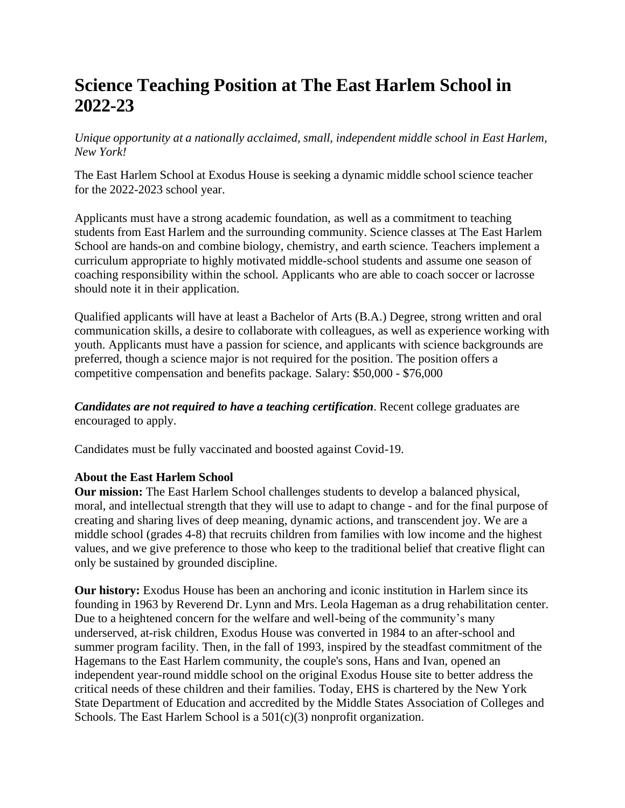## **Science Teaching Position at The East Harlem School in 2022-23**

*Unique opportunity at a nationally acclaimed, small, independent middle school in East Harlem, New York!*

The East Harlem School at Exodus House is seeking a dynamic middle school science teacher for the 2022-2023 school year.

Applicants must have a strong academic foundation, as well as a commitment to teaching students from East Harlem and the surrounding community. Science classes at The East Harlem School are hands-on and combine biology, chemistry, and earth science. Teachers implement a curriculum appropriate to highly motivated middle-school students and assume one season of coaching responsibility within the school. Applicants who are able to coach soccer or lacrosse should note it in their application.

Qualified applicants will have at least a Bachelor of Arts (B.A.) Degree, strong written and oral communication skills, a desire to collaborate with colleagues, as well as experience working with youth. Applicants must have a passion for science, and applicants with science backgrounds are preferred, though a science major is not required for the position. The position offers a competitive compensation and benefits package. Salary: \$50,000 - \$76,000

*Candidates are not required to have a teaching certification*. Recent college graduates are encouraged to apply.

Candidates must be fully vaccinated and boosted against Covid-19.

## **About the East Harlem School**

**Our mission:** The East Harlem School challenges students to develop a balanced physical, moral, and intellectual strength that they will use to adapt to change - and for the final purpose of creating and sharing lives of deep meaning, dynamic actions, and transcendent joy. We are a middle school (grades 4-8) that recruits children from families with low income and the highest values, and we give preference to those who keep to the traditional belief that creative flight can only be sustained by grounded discipline.

**Our history:** Exodus House has been an anchoring and iconic institution in Harlem since its founding in 1963 by Reverend Dr. Lynn and Mrs. Leola Hageman as a drug rehabilitation center. Due to a heightened concern for the welfare and well-being of the community's many underserved, at-risk children, Exodus House was converted in 1984 to an after-school and summer program facility. Then, in the fall of 1993, inspired by the steadfast commitment of the Hagemans to the East Harlem community, the couple's sons, Hans and Ivan, opened an independent year-round middle school on the original Exodus House site to better address the critical needs of these children and their families. Today, EHS is chartered by the New York State Department of Education and accredited by the Middle States Association of Colleges and Schools. The East Harlem School is a 501(c)(3) nonprofit organization.